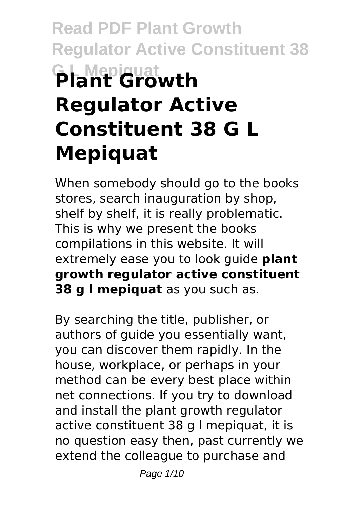# **Read PDF Plant Growth Regulator Active Constituent 38 G L Mepiquat Plant Growth Regulator Active Constituent 38 G L Mepiquat**

When somebody should go to the books stores, search inauguration by shop, shelf by shelf, it is really problematic. This is why we present the books compilations in this website. It will extremely ease you to look guide **plant growth regulator active constituent 38 g l mepiquat** as you such as.

By searching the title, publisher, or authors of guide you essentially want, you can discover them rapidly. In the house, workplace, or perhaps in your method can be every best place within net connections. If you try to download and install the plant growth regulator active constituent 38 g l mepiquat, it is no question easy then, past currently we extend the colleague to purchase and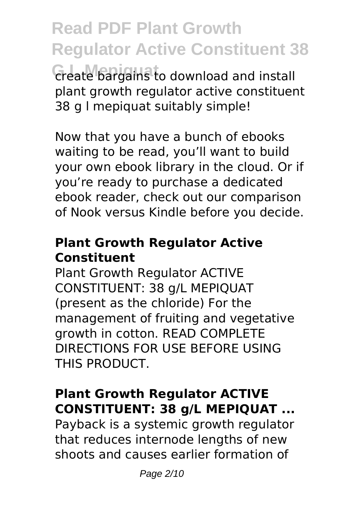**Read PDF Plant Growth Regulator Active Constituent 38 Greate bargains to download and install** plant growth regulator active constituent 38 g l mepiquat suitably simple!

Now that you have a bunch of ebooks waiting to be read, you'll want to build your own ebook library in the cloud. Or if you're ready to purchase a dedicated ebook reader, check out our comparison of Nook versus Kindle before you decide.

# **Plant Growth Regulator Active Constituent**

Plant Growth Regulator ACTIVE CONSTITUENT: 38 g/L MEPIQUAT (present as the chloride) For the management of fruiting and vegetative growth in cotton. READ COMPLETE DIRECTIONS FOR USE BEFORE USING THIS PRODUCT.

# **Plant Growth Regulator ACTIVE CONSTITUENT: 38 g/L MEPIQUAT ...**

Payback is a systemic growth regulator that reduces internode lengths of new shoots and causes earlier formation of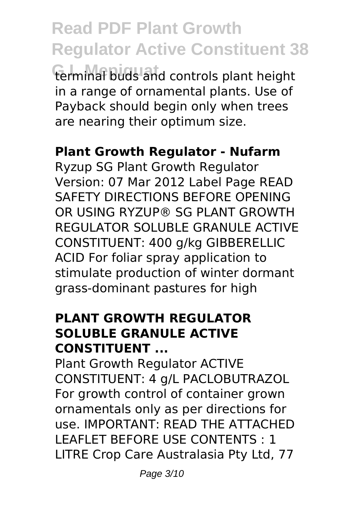**Read PDF Plant Growth Regulator Active Constituent 38** terminal buds and controls plant height in a range of ornamental plants. Use of Payback should begin only when trees are nearing their optimum size.

# **Plant Growth Regulator - Nufarm**

Ryzup SG Plant Growth Regulator Version: 07 Mar 2012 Label Page READ SAFETY DIRECTIONS BEFORE OPENING OR USING RYZUP® SG PLANT GROWTH REGULATOR SOLUBLE GRANULE ACTIVE CONSTITUENT: 400 g/kg GIBBERELLIC ACID For foliar spray application to stimulate production of winter dormant grass-dominant pastures for high

# **PLANT GROWTH REGULATOR SOLUBLE GRANULE ACTIVE CONSTITUENT ...**

Plant Growth Regulator ACTIVE CONSTITUENT: 4 g/L PACLOBUTRAZOL For growth control of container grown ornamentals only as per directions for use. IMPORTANT: READ THE ATTACHED LEAFLET BEFORE USE CONTENTS : 1 LITRE Crop Care Australasia Pty Ltd, 77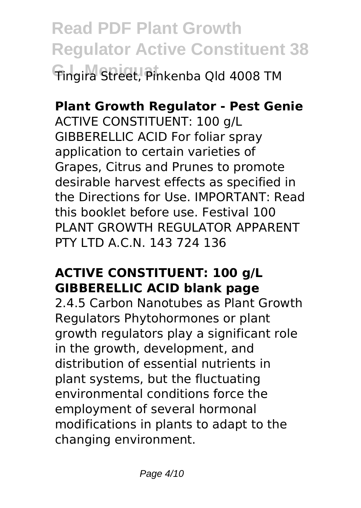**Read PDF Plant Growth Regulator Active Constituent 38 G L Mepiquat** Tingira Street, Pinkenba Qld 4008 TM

# **Plant Growth Regulator - Pest Genie**

ACTIVE CONSTITUENT: 100 g/L GIBBERELLIC ACID For foliar spray application to certain varieties of Grapes, Citrus and Prunes to promote desirable harvest effects as specified in the Directions for Use. IMPORTANT: Read this booklet before use. Festival 100 PLANT GROWTH REGULATOR APPARENT PTY LTD A.C.N. 143 724 136

#### **ACTIVE CONSTITUENT: 100 g/L GIBBERELLIC ACID blank page**

2.4.5 Carbon Nanotubes as Plant Growth Regulators Phytohormones or plant growth regulators play a significant role in the growth, development, and distribution of essential nutrients in plant systems, but the fluctuating environmental conditions force the employment of several hormonal modifications in plants to adapt to the changing environment.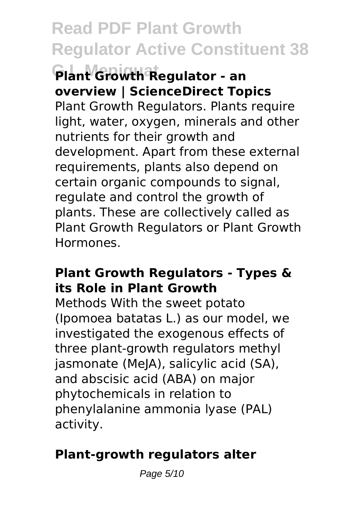# **Read PDF Plant Growth Regulator Active Constituent 38**

**G L Mepiquat Plant Growth Regulator - an overview | ScienceDirect Topics** Plant Growth Regulators. Plants require light, water, oxygen, minerals and other nutrients for their growth and development. Apart from these external requirements, plants also depend on certain organic compounds to signal, regulate and control the growth of plants. These are collectively called as Plant Growth Regulators or Plant Growth Hormones.

#### **Plant Growth Regulators - Types & its Role in Plant Growth**

Methods With the sweet potato (Ipomoea batatas L.) as our model, we investigated the exogenous effects of three plant-growth regulators methyl jasmonate (MeJA), salicylic acid (SA), and abscisic acid (ABA) on major phytochemicals in relation to phenylalanine ammonia lyase (PAL) activity.

# **Plant-growth regulators alter**

Page 5/10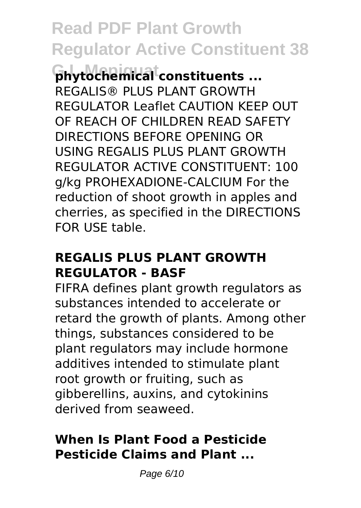**Read PDF Plant Growth Regulator Active Constituent 38**

**G L Mepiquat phytochemical constituents ...** REGALIS® PLUS PLANT GROWTH REGULATOR Leaflet CAUTION KEEP OUT OF REACH OF CHILDREN READ SAFETY DIRECTIONS BEFORE OPENING OR USING REGALIS PLUS PLANT GROWTH REGULATOR ACTIVE CONSTITUENT: 100 g/kg PROHEXADIONE-CALCIUM For the reduction of shoot growth in apples and cherries, as specified in the DIRECTIONS FOR USE table.

#### **REGALIS PLUS PLANT GROWTH REGULATOR - BASF**

FIFRA defines plant growth regulators as substances intended to accelerate or retard the growth of plants. Among other things, substances considered to be plant regulators may include hormone additives intended to stimulate plant root growth or fruiting, such as gibberellins, auxins, and cytokinins derived from seaweed.

#### **When Is Plant Food a Pesticide Pesticide Claims and Plant ...**

Page 6/10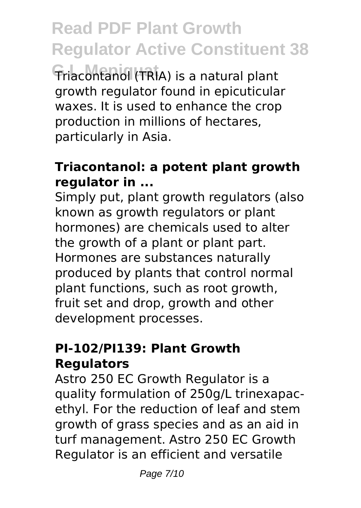**Read PDF Plant Growth Regulator Active Constituent 38 Triacontanol (TRIA) is a natural plant** growth regulator found in epicuticular waxes. It is used to enhance the crop production in millions of hectares, particularly in Asia.

#### **Triacontanol: a potent plant growth regulator in ...**

Simply put, plant growth regulators (also known as growth regulators or plant hormones) are chemicals used to alter the growth of a plant or plant part. Hormones are substances naturally produced by plants that control normal plant functions, such as root growth, fruit set and drop, growth and other development processes.

#### **PI-102/PI139: Plant Growth Regulators**

Astro 250 EC Growth Regulator is a quality formulation of 250g/L trinexapacethyl. For the reduction of leaf and stem growth of grass species and as an aid in turf management. Astro 250 EC Growth Regulator is an efficient and versatile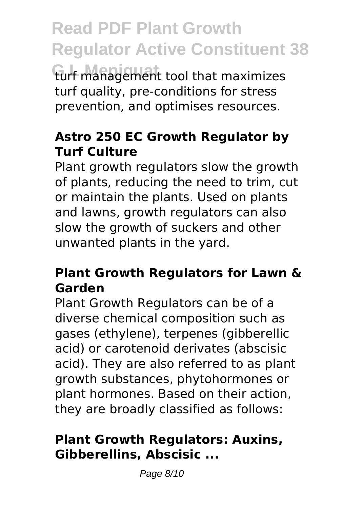**Read PDF Plant Growth Regulator Active Constituent 38** turf management tool that maximizes

turf quality, pre-conditions for stress prevention, and optimises resources.

# **Astro 250 EC Growth Regulator by Turf Culture**

Plant growth regulators slow the growth of plants, reducing the need to trim, cut or maintain the plants. Used on plants and lawns, growth regulators can also slow the growth of suckers and other unwanted plants in the yard.

#### **Plant Growth Regulators for Lawn & Garden**

Plant Growth Regulators can be of a diverse chemical composition such as gases (ethylene), terpenes (gibberellic acid) or carotenoid derivates (abscisic acid). They are also referred to as plant growth substances, phytohormones or plant hormones. Based on their action, they are broadly classified as follows:

# **Plant Growth Regulators: Auxins, Gibberellins, Abscisic ...**

Page 8/10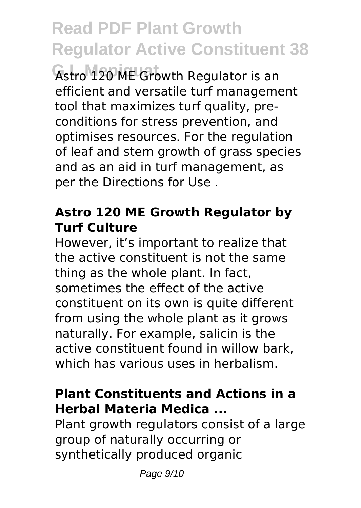# **Read PDF Plant Growth Regulator Active Constituent 38**

Astro 120 ME Growth Regulator is an efficient and versatile turf management tool that maximizes turf quality, preconditions for stress prevention, and optimises resources. For the regulation of leaf and stem growth of grass species and as an aid in turf management, as per the Directions for Use .

#### **Astro 120 ME Growth Regulator by Turf Culture**

However, it's important to realize that the active constituent is not the same thing as the whole plant. In fact, sometimes the effect of the active constituent on its own is quite different from using the whole plant as it grows naturally. For example, salicin is the active constituent found in willow bark, which has various uses in herbalism.

# **Plant Constituents and Actions in a Herbal Materia Medica ...**

Plant growth regulators consist of a large group of naturally occurring or synthetically produced organic